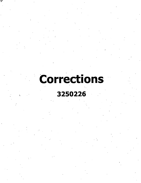# Corrections

## 3250226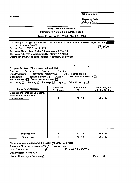**^FORM B**

**OSC Use Only:**

Reporting Code: Category Code:

 $\blacksquare$ 

#### **State Consultant Services Contractor's Annual Employment Report**

**Report Period: April 1, 2019 to March 31, 2020**

| Contracting State Agency Name: Dept. of Corrections & Community Supervision Agency Code: |         |
|------------------------------------------------------------------------------------------|---------|
| Contract Number: C000252                                                                 | 3250226 |
| Contract Term: 10/1/17 to 9/30/20                                                        |         |
| Contractor Name: Teal, Becker & Chiaramonte, CPAs, P.C.                                  |         |
| Contractor Address: 7 Washington Sq., Albany, NY 12205                                   |         |
| Description of Services Being Provided: Financial Audit Services                         |         |
|                                                                                          |         |

| Scope of Contract (Choose one that best fits):<br>Analysis <u>D</u> Evaluation <b>D</b> Research D Training D<br>Data Processing $\Box$ Computer Programming $\Box$ Other IT consulting $\Box$<br>Engineering □ Architect Services □ Surveying □ Environmental Services □ |                               |                                  |                                             |  |
|---------------------------------------------------------------------------------------------------------------------------------------------------------------------------------------------------------------------------------------------------------------------------|-------------------------------|----------------------------------|---------------------------------------------|--|
| Health Services □ Mental Health Services □<br>Auditing $\boxtimes$ Paralegal $\Box$ Legal $\Box$<br>Other Consulting $\Box$<br>Accounting $\Box$                                                                                                                          |                               |                                  |                                             |  |
| <b>Employment Category</b>                                                                                                                                                                                                                                                | Number of<br><b>Employees</b> | <b>Number of Hours</b><br>Worked | <b>Amount Payable</b><br>Under the Contract |  |
| <b>Business and Financial Operations,</b><br><b>Accountants and Auditors,</b><br>Professionals                                                                                                                                                                            | 9                             | 421.10                           | \$55,135                                    |  |
|                                                                                                                                                                                                                                                                           |                               |                                  |                                             |  |
|                                                                                                                                                                                                                                                                           |                               |                                  |                                             |  |
|                                                                                                                                                                                                                                                                           |                               |                                  |                                             |  |
|                                                                                                                                                                                                                                                                           |                               |                                  |                                             |  |
|                                                                                                                                                                                                                                                                           |                               |                                  |                                             |  |
| Total this page                                                                                                                                                                                                                                                           | 9                             | 421.10                           | \$55,135                                    |  |
| <b>Grand Total</b>                                                                                                                                                                                                                                                        | 9                             | 421.10                           | \$55,135                                    |  |

| Name of person who prepared this report: Vincent J. Commisso<br>Preparer's Signature: Vincent C. Commisso |                       |      |    |  |
|-----------------------------------------------------------------------------------------------------------|-----------------------|------|----|--|
| Title: Shareholder                                                                                        | Phone #: 518-456-6663 |      |    |  |
| Date Prepared: 05/01/2020                                                                                 |                       |      |    |  |
| Use additional pages if necessary)                                                                        |                       | Page | Οt |  |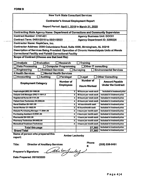$\overline{\phantom{a}}$ 

|                                                                                           | <b>Contractor's Annual Employment Report</b> |                                                |                               |
|-------------------------------------------------------------------------------------------|----------------------------------------------|------------------------------------------------|-------------------------------|
|                                                                                           |                                              | Report Period: April 1, 2019 to March 31, 2020 |                               |
| <b>Contracting State Agency Name: Department of Corrections and Community Supervision</b> |                                              |                                                |                               |
| <b>Contract Number: C161451</b>                                                           |                                              | <b>Agency Business Unit: DOC01</b>             |                               |
| Contract Term: 04/01/2019 to 03/31/2023                                                   | <b>Agency Department ID: 3250226</b>         |                                                |                               |
| <b>Contractor Name: NaphCare, Inc.</b>                                                    |                                              |                                                |                               |
| Contractor Address: 2090 Columbiana Road, Suite 4000, Birmingham, AL 35216                |                                              |                                                |                               |
| Description of Services Being Provided: Operation of Chronic Hemodialysis Units at Wende  |                                              |                                                |                               |
| <b>Correctional Facility and Fishkill Correctional Facility</b>                           |                                              |                                                |                               |
| Scope of Contract (Choose one that best fits):                                            |                                              |                                                |                               |
|                                                                                           |                                              |                                                |                               |
| <b>Analysis</b><br><b>Evaluation</b>                                                      | <b>Research</b>                              | <b>Training</b>                                |                               |
| <b>Data Processing</b>                                                                    | <b>Computer Programming</b>                  | Other IT consulting                            |                               |
| <b>Engineering</b><br><b>Architect Services</b>                                           |                                              | <b>Surveying</b>                               | <b>Environmental Services</b> |
| <b>X Health Services</b>                                                                  | <b>Mental Health Services</b>                |                                                |                               |
| <b>Accounting</b><br><b>Auditing</b>                                                      | Paralegal                                    | Legal                                          | <b>Other Consulting</b>       |
|                                                                                           | <b>Number of</b>                             | <b>Number of</b>                               | <b>Amount Payable</b>         |
| <b>Employment Category</b>                                                                | <b>Employees</b>                             |                                                | <b>Under the Contract</b>     |
|                                                                                           |                                              | <b>Hours Worked</b>                            |                               |
| Nephrologist (MD) 29-1069.00                                                              | $\mathbf{z}$                                 | 40 hours per week each                         | Included in treatment price   |
| Dialysis Unit Manager (RN) 11-1911.0                                                      | 2                                            | 40 hours per week each                         | Included in treatment price   |
| Registered Nurse 29-1141.00                                                               | 4                                            | 40 hours per week each                         | Included in treatment price   |
| Patient Care Technician 29-2099.00                                                        | 4                                            | 40 hours per week each                         | Included in treatment price   |
| Renal Dietitian 29-1031.00                                                                | $\mathbf{2}$                                 | 40 hours/month each                            | Included in treatment price   |
| Social Worker 21-1022.00                                                                  | $\mathbf{2}$                                 | 40 hours/month each                            | Included in treatment price   |
| <b>Dialysis Purchasing Manager 11-3061.00</b>                                             | 2                                            | 4 hours per month each                         | included in treatment price   |
| Purchasing Assistant 43-9061.00                                                           | $\mathbf{z}$                                 | 4 hours per month each                         | Included in treatment price   |
| <b>Pharmacist 29-1051.00</b>                                                              | 2                                            | 4 hours per month each                         | included in treatment price   |
| Pharmacy Technician 29-2052.00                                                            | 2                                            | 4 hours per month each                         | Included in treatment price   |
| <b>Biomedical Treatment Technician</b>                                                    | 2                                            | 4 hours per month each                         | Included in treatment price   |
| Total this page                                                                           |                                              | 27,360                                         | Included in treatment price   |
| <b>Grand Total</b>                                                                        |                                              | 27,360                                         | Included in treatment price   |

Title: Director of Ancillary Services **Finance 1205** (205) 536-8481

**#:** Ambefulag

Date Prepared: 05/18/2020

Preparer's Signature: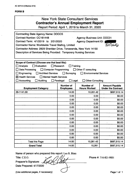#### **FORMB**

| <b>New York State Consultant Services</b><br><b>Contractor's Annual Employment Report</b><br>Report Period: April 1, 2019 to March 31, 2020                                                                                                                                                                                                                                                                                                        |                                      |                                         |                                                    |
|----------------------------------------------------------------------------------------------------------------------------------------------------------------------------------------------------------------------------------------------------------------------------------------------------------------------------------------------------------------------------------------------------------------------------------------------------|--------------------------------------|-----------------------------------------|----------------------------------------------------|
| <b>Contracting State Agency Name: DOCCS</b><br>Contract Number: CC161448<br><b>Agency Business Unit: DOC01</b><br>Contract Term: 4/1/2019 to 3/31/2020<br><b>Agency Department ID:</b><br>3250006<br>Contractor Name: Worldwide Travel Stafing, Limited<br>Contractor Address: 2829 Sheridan Drive, Tonawanda, New York 14150<br>Description of Services Being Provided: Temporary Nursing Services                                                |                                      |                                         |                                                    |
| Scope of Contract (Choose one that best fits):<br>$\Box$ Analysis<br>Evaluation<br>Research<br>Training<br>$\Box$ Data Processing<br>Computer Programming<br>Other IT consulting<br>$\Box$ Engineering<br><b>Architect Services</b><br>$\Box$ Surveying<br><b>Environmental Services</b><br>$\boxtimes$ Health Services<br>Mental Health Services<br>$\Box$ Accounting<br>Auditing<br>$\Box$ Paralegal<br>$\Box$ Legal.<br><b>Other Consulting</b> |                                      |                                         |                                                    |
| <b>Employment Category</b>                                                                                                                                                                                                                                                                                                                                                                                                                         | <b>Number of</b><br><b>Employees</b> | <b>Number of</b><br><b>Hours Worked</b> | <b>Amount Payable</b><br><b>Under the Contract</b> |
| 29-1141.00                                                                                                                                                                                                                                                                                                                                                                                                                                         | 14.00                                | 10,261.42                               | \$687,515.14                                       |
|                                                                                                                                                                                                                                                                                                                                                                                                                                                    | 0.00                                 | 0.00                                    | \$0.00                                             |
|                                                                                                                                                                                                                                                                                                                                                                                                                                                    | 0.00                                 | 0.00                                    | \$0.00                                             |
|                                                                                                                                                                                                                                                                                                                                                                                                                                                    | 0.00                                 | 0.00                                    | \$0.00                                             |
|                                                                                                                                                                                                                                                                                                                                                                                                                                                    | 0.00                                 | 0.00                                    | \$0.00                                             |
|                                                                                                                                                                                                                                                                                                                                                                                                                                                    | 0.00                                 | 0.00                                    | \$0.00                                             |
|                                                                                                                                                                                                                                                                                                                                                                                                                                                    | 0.00                                 | 0.00                                    | \$0.00                                             |
|                                                                                                                                                                                                                                                                                                                                                                                                                                                    | 0.00                                 | 0.00                                    | \$0.00                                             |
|                                                                                                                                                                                                                                                                                                                                                                                                                                                    | 0.00<br>0.00                         | 0.00<br>0.00                            | \$0.00<br>\$0.00                                   |
|                                                                                                                                                                                                                                                                                                                                                                                                                                                    | 0.00                                 | 0.00                                    | \$0.00                                             |
|                                                                                                                                                                                                                                                                                                                                                                                                                                                    | 0.00                                 | 0.00                                    | \$0.00                                             |
|                                                                                                                                                                                                                                                                                                                                                                                                                                                    | 0.00                                 | 0.00                                    | \$0.00                                             |
| <b>Total this Page</b>                                                                                                                                                                                                                                                                                                                                                                                                                             | 14.00                                | 10,261.42                               | \$687,515.14                                       |
| <b>Grand Total</b>                                                                                                                                                                                                                                                                                                                                                                                                                                 | 14.00                                | 10,261                                  | \$687,515.14                                       |

Name of person who prepared this report: Leo R. Blatz

*y*

*V*

Title: C.E.O.

Preparer's Signature:

Date Prepared: 4/17/2020

**y** Phone #: 716-821-9001

(Use additional pages, if necessary)  $\qquad \qquad \qquad$  Page 1 of 1